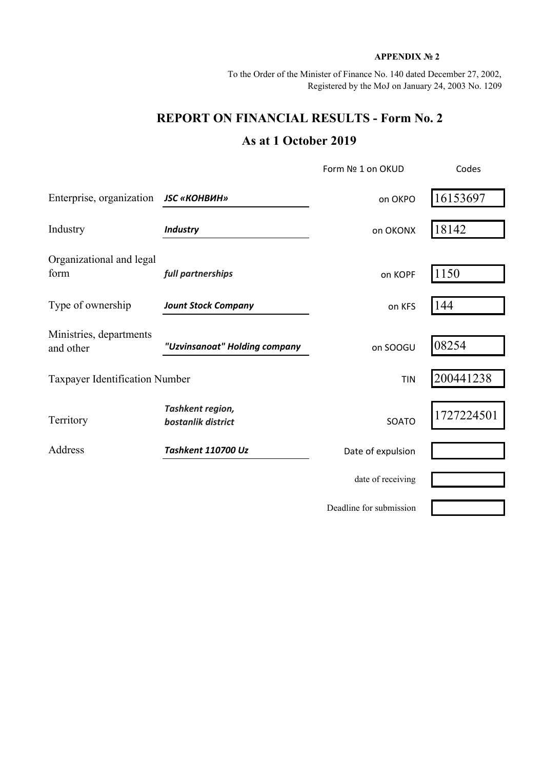## **APPENDIX № 2**

To the Order of the Minister of Finance No. 140 dated December 27, 2002, Registered by the MoJ on January 24, 2003 No. 1209

## **REPORT ON FINANCIAL RESULTS - Form No. 2 As at 1 October 2019**

|                                       |                                        | Form Nº 1 on OKUD       | Codes      |  |
|---------------------------------------|----------------------------------------|-------------------------|------------|--|
| Enterprise, organization              | <b>JSC «КОНВИН»</b>                    | on OKPO                 | 16153697   |  |
| Industry                              | <b>Industry</b>                        | on OKONX                | 18142      |  |
| Organizational and legal<br>form      | full partnerships                      | on KOPF                 | 1150       |  |
| Type of ownership                     | <b>Jount Stock Company</b>             | on KFS                  | 144        |  |
| Ministries, departments<br>and other  | "Uzvinsanoat" Holding company          | on SOOGU                | 08254      |  |
| <b>Taxpayer Identification Number</b> |                                        | <b>TIN</b>              | 200441238  |  |
| Territory                             | Tashkent region,<br>bostanlik district | SOATO                   | 1727224501 |  |
| Address                               | Tashkent 110700 Uz                     | Date of expulsion       |            |  |
|                                       |                                        | date of receiving       |            |  |
|                                       |                                        | Deadline for submission |            |  |